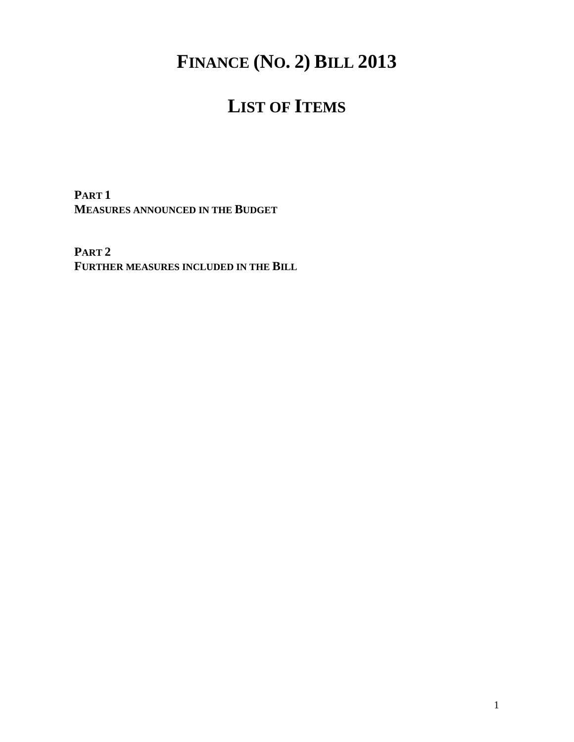# **FINANCE (NO. 2) BILL 2013**

# **LIST OF ITEMS**

**PART 1 MEASURES ANNOUNCED IN THE BUDGET** 

**PART 2 FURTHER MEASURES INCLUDED IN THE BILL**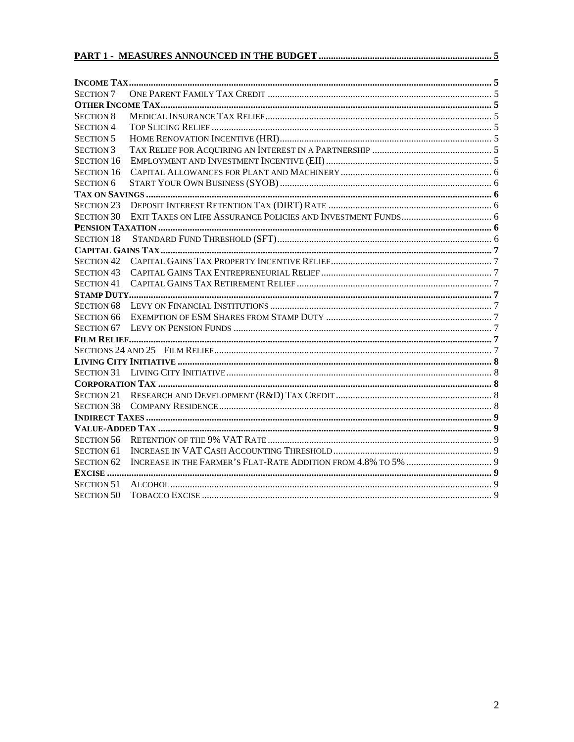| SECTION 7         |  |
|-------------------|--|
|                   |  |
| <b>SECTION 8</b>  |  |
| SECTION 4         |  |
| <b>SECTION 5</b>  |  |
| <b>SECTION 3</b>  |  |
| <b>SECTION 16</b> |  |
| <b>SECTION 16</b> |  |
| <b>SECTION 6</b>  |  |
|                   |  |
| <b>SECTION 23</b> |  |
| <b>SECTION 30</b> |  |
|                   |  |
| <b>SECTION 18</b> |  |
|                   |  |
| <b>SECTION 42</b> |  |
| <b>SECTION 43</b> |  |
| <b>SECTION 41</b> |  |
|                   |  |
| SECTION 68        |  |
| SECTION 66        |  |
|                   |  |
|                   |  |
|                   |  |
|                   |  |
|                   |  |
|                   |  |
| SECTION 21        |  |
| <b>SECTION 38</b> |  |
|                   |  |
|                   |  |
| <b>SECTION 56</b> |  |
| SECTION 61        |  |
| <b>SECTION 62</b> |  |
|                   |  |
| <b>SECTION 51</b> |  |
| <b>SECTION 50</b> |  |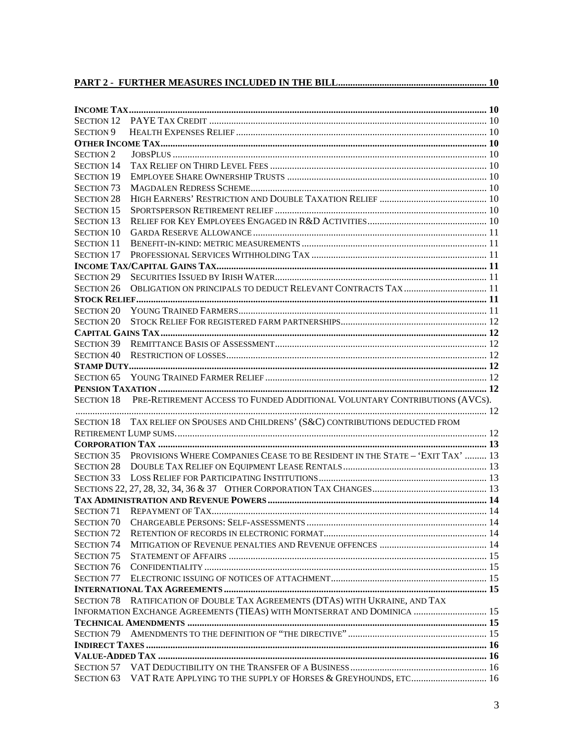| <b>SECTION 12</b>                      |                                                                                          |  |  |  |  |
|----------------------------------------|------------------------------------------------------------------------------------------|--|--|--|--|
| <b>SECTION 9</b>                       |                                                                                          |  |  |  |  |
|                                        |                                                                                          |  |  |  |  |
| <b>SECTION 2</b>                       |                                                                                          |  |  |  |  |
| <b>SECTION 14</b>                      |                                                                                          |  |  |  |  |
| <b>SECTION 19</b>                      |                                                                                          |  |  |  |  |
| <b>SECTION 73</b>                      |                                                                                          |  |  |  |  |
| <b>SECTION 28</b>                      |                                                                                          |  |  |  |  |
| <b>SECTION 15</b>                      |                                                                                          |  |  |  |  |
| <b>SECTION 13</b>                      |                                                                                          |  |  |  |  |
| <b>SECTION 10</b>                      |                                                                                          |  |  |  |  |
| <b>SECTION 11</b>                      |                                                                                          |  |  |  |  |
| <b>SECTION 17</b>                      |                                                                                          |  |  |  |  |
|                                        |                                                                                          |  |  |  |  |
| <b>SECTION 29</b>                      |                                                                                          |  |  |  |  |
| <b>SECTION 26</b>                      |                                                                                          |  |  |  |  |
|                                        |                                                                                          |  |  |  |  |
| <b>SECTION 20</b>                      |                                                                                          |  |  |  |  |
| <b>SECTION 20</b>                      |                                                                                          |  |  |  |  |
|                                        |                                                                                          |  |  |  |  |
|                                        |                                                                                          |  |  |  |  |
|                                        |                                                                                          |  |  |  |  |
|                                        |                                                                                          |  |  |  |  |
|                                        |                                                                                          |  |  |  |  |
|                                        |                                                                                          |  |  |  |  |
|                                        | SECTION 18 PRE-RETIREMENT ACCESS TO FUNDED ADDITIONAL VOLUNTARY CONTRIBUTIONS (AVCS).    |  |  |  |  |
|                                        |                                                                                          |  |  |  |  |
|                                        | SECTION 18 TAX RELIEF ON SPOUSES AND CHILDRENS' (S&C) CONTRIBUTIONS DEDUCTED FROM        |  |  |  |  |
|                                        |                                                                                          |  |  |  |  |
|                                        |                                                                                          |  |  |  |  |
|                                        | SECTION 35 PROVISIONS WHERE COMPANIES CEASE TO BE RESIDENT IN THE STATE - 'EXIT TAX'  13 |  |  |  |  |
|                                        |                                                                                          |  |  |  |  |
|                                        |                                                                                          |  |  |  |  |
|                                        |                                                                                          |  |  |  |  |
|                                        |                                                                                          |  |  |  |  |
|                                        |                                                                                          |  |  |  |  |
|                                        |                                                                                          |  |  |  |  |
| <b>SECTION 72</b>                      |                                                                                          |  |  |  |  |
| <b>SECTION 74</b>                      |                                                                                          |  |  |  |  |
| <b>SECTION 75</b>                      |                                                                                          |  |  |  |  |
| <b>SECTION 76</b>                      |                                                                                          |  |  |  |  |
| <b>SECTION 77</b>                      |                                                                                          |  |  |  |  |
|                                        |                                                                                          |  |  |  |  |
|                                        | SECTION 78 RATIFICATION OF DOUBLE TAX AGREEMENTS (DTAS) WITH UKRAINE, AND TAX            |  |  |  |  |
|                                        | INFORMATION EXCHANGE AGREEMENTS (TIEAS) WITH MONTSERRAT AND DOMINICA  15                 |  |  |  |  |
|                                        |                                                                                          |  |  |  |  |
| <b>SECTION 79</b>                      |                                                                                          |  |  |  |  |
|                                        |                                                                                          |  |  |  |  |
|                                        |                                                                                          |  |  |  |  |
| <b>SECTION 57</b><br><b>SECTION 63</b> | VAT RATE APPLYING TO THE SUPPLY OF HORSES & GREYHOUNDS, ETC 16                           |  |  |  |  |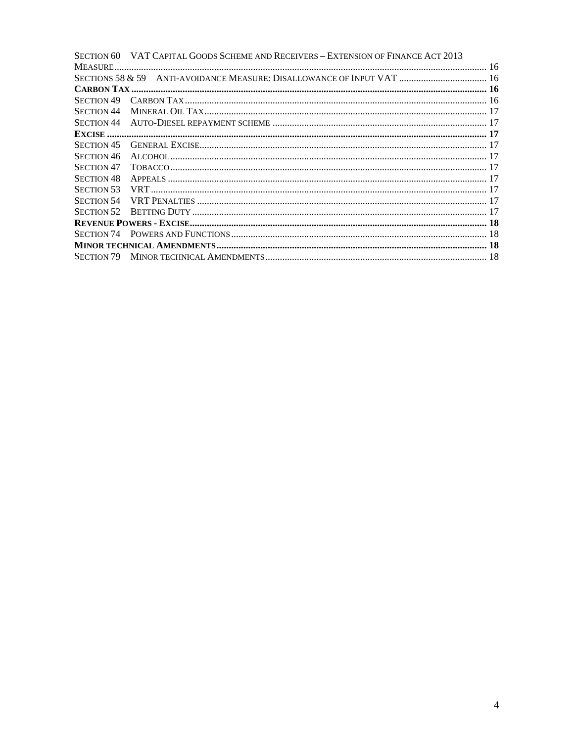|                   | SECTION 60 VAT CAPITAL GOODS SCHEME AND RECEIVERS – EXTENSION OF FINANCE ACT 2013 |  |
|-------------------|-----------------------------------------------------------------------------------|--|
|                   |                                                                                   |  |
|                   | SECTIONS 58 & 59 ANTI-AVOIDANCE MEASURE: DISALLOWANCE OF INPUT VAT  16            |  |
|                   |                                                                                   |  |
| SECTION 49        |                                                                                   |  |
| <b>SECTION 44</b> |                                                                                   |  |
| SECTION 44        |                                                                                   |  |
|                   |                                                                                   |  |
| <b>SECTION 45</b> |                                                                                   |  |
| <b>SECTION 46</b> |                                                                                   |  |
| <b>SECTION 47</b> |                                                                                   |  |
| <b>SECTION 48</b> |                                                                                   |  |
| <b>SECTION 53</b> |                                                                                   |  |
| <b>SECTION 54</b> |                                                                                   |  |
| <b>SECTION 52</b> |                                                                                   |  |
|                   |                                                                                   |  |
|                   |                                                                                   |  |
|                   |                                                                                   |  |
|                   |                                                                                   |  |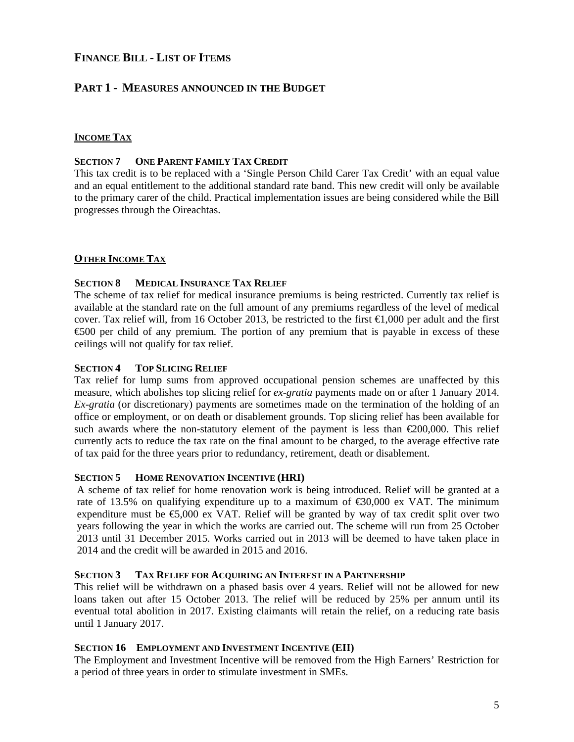## **FINANCE BILL - LIST OF ITEMS**

## **PART 1 - MEASURES ANNOUNCED IN THE BUDGET**

## **INCOME TAX**

#### **SECTION 7 ONE PARENT FAMILY TAX CREDIT**

This tax credit is to be replaced with a 'Single Person Child Carer Tax Credit' with an equal value and an equal entitlement to the additional standard rate band. This new credit will only be available to the primary carer of the child. Practical implementation issues are being considered while the Bill progresses through the Oireachtas.

## **OTHER INCOME TAX**

## **SECTION 8 MEDICAL INSURANCE TAX RELIEF**

The scheme of tax relief for medical insurance premiums is being restricted. Currently tax relief is available at the standard rate on the full amount of any premiums regardless of the level of medical cover. Tax relief will, from 16 October 2013, be restricted to the first  $\in$ 1,000 per adult and the first €500 per child of any premium. The portion of any premium that is payable in excess of these ceilings will not qualify for tax relief.

## **SECTION 4 TOP SLICING RELIEF**

Tax relief for lump sums from approved occupational pension schemes are unaffected by this measure, which abolishes top slicing relief for *ex-gratia* payments made on or after 1 January 2014. *Ex-gratia* (or discretionary) payments are sometimes made on the termination of the holding of an office or employment, or on death or disablement grounds. Top slicing relief has been available for such awards where the non-statutory element of the payment is less than  $\epsilon$ 200,000. This relief currently acts to reduce the tax rate on the final amount to be charged, to the average effective rate of tax paid for the three years prior to redundancy, retirement, death or disablement.

#### **SECTION 5 HOME RENOVATION INCENTIVE (HRI)**

A scheme of tax relief for home renovation work is being introduced. Relief will be granted at a rate of 13.5% on qualifying expenditure up to a maximum of  $\epsilon$ 30,000 ex VAT. The minimum expenditure must be  $\epsilon$ ,000 ex VAT. Relief will be granted by way of tax credit split over two years following the year in which the works are carried out. The scheme will run from 25 October 2013 until 31 December 2015. Works carried out in 2013 will be deemed to have taken place in 2014 and the credit will be awarded in 2015 and 2016.

#### **SECTION 3 TAX RELIEF FOR ACQUIRING AN INTEREST IN A PARTNERSHIP**

This relief will be withdrawn on a phased basis over 4 years. Relief will not be allowed for new loans taken out after 15 October 2013. The relief will be reduced by 25% per annum until its eventual total abolition in 2017. Existing claimants will retain the relief, on a reducing rate basis until 1 January 2017.

## **SECTION 16 EMPLOYMENT AND INVESTMENT INCENTIVE (EII)**

The Employment and Investment Incentive will be removed from the High Earners' Restriction for a period of three years in order to stimulate investment in SMEs.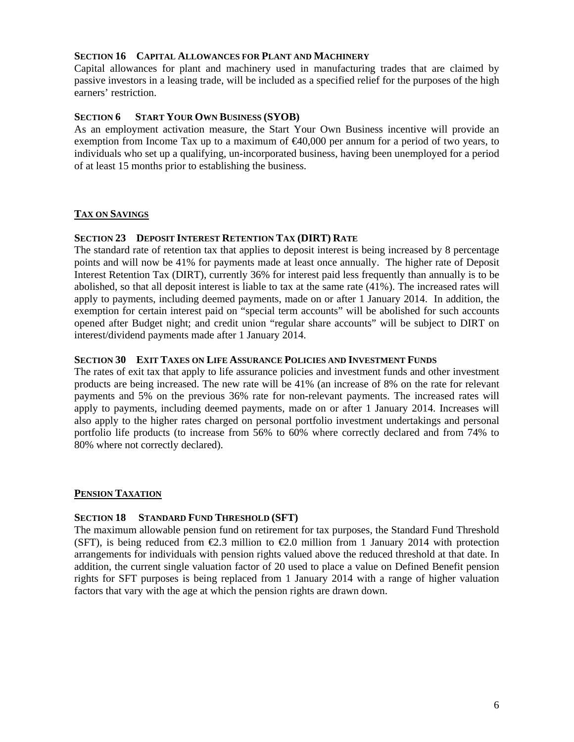## **SECTION 16 CAPITAL ALLOWANCES FOR PLANT AND MACHINERY**

Capital allowances for plant and machinery used in manufacturing trades that are claimed by passive investors in a leasing trade, will be included as a specified relief for the purposes of the high earners' restriction.

## **SECTION 6 START YOUR OWN BUSINESS (SYOB)**

As an employment activation measure, the Start Your Own Business incentive will provide an exemption from Income Tax up to a maximum of  $\epsilon 40,000$  per annum for a period of two years, to individuals who set up a qualifying, un-incorporated business, having been unemployed for a period of at least 15 months prior to establishing the business.

## **TAX ON SAVINGS**

#### **SECTION 23 DEPOSIT INTEREST RETENTION TAX (DIRT) RATE**

The standard rate of retention tax that applies to deposit interest is being increased by 8 percentage points and will now be 41% for payments made at least once annually. The higher rate of Deposit Interest Retention Tax (DIRT), currently 36% for interest paid less frequently than annually is to be abolished, so that all deposit interest is liable to tax at the same rate (41%). The increased rates will apply to payments, including deemed payments, made on or after 1 January 2014. In addition, the exemption for certain interest paid on "special term accounts" will be abolished for such accounts opened after Budget night; and credit union "regular share accounts" will be subject to DIRT on interest/dividend payments made after 1 January 2014.

#### **SECTION 30 EXIT TAXES ON LIFE ASSURANCE POLICIES AND INVESTMENT FUNDS**

The rates of exit tax that apply to life assurance policies and investment funds and other investment products are being increased. The new rate will be 41% (an increase of 8% on the rate for relevant payments and 5% on the previous 36% rate for non-relevant payments. The increased rates will apply to payments, including deemed payments, made on or after 1 January 2014. Increases will also apply to the higher rates charged on personal portfolio investment undertakings and personal portfolio life products (to increase from 56% to 60% where correctly declared and from 74% to 80% where not correctly declared).

#### **PENSION TAXATION**

#### **SECTION 18 STANDARD FUND THRESHOLD (SFT)**

The maximum allowable pension fund on retirement for tax purposes, the Standard Fund Threshold (SFT), is being reduced from  $\epsilon 2.3$  million to  $\epsilon 2.0$  million from 1 January 2014 with protection arrangements for individuals with pension rights valued above the reduced threshold at that date. In addition, the current single valuation factor of 20 used to place a value on Defined Benefit pension rights for SFT purposes is being replaced from 1 January 2014 with a range of higher valuation factors that vary with the age at which the pension rights are drawn down.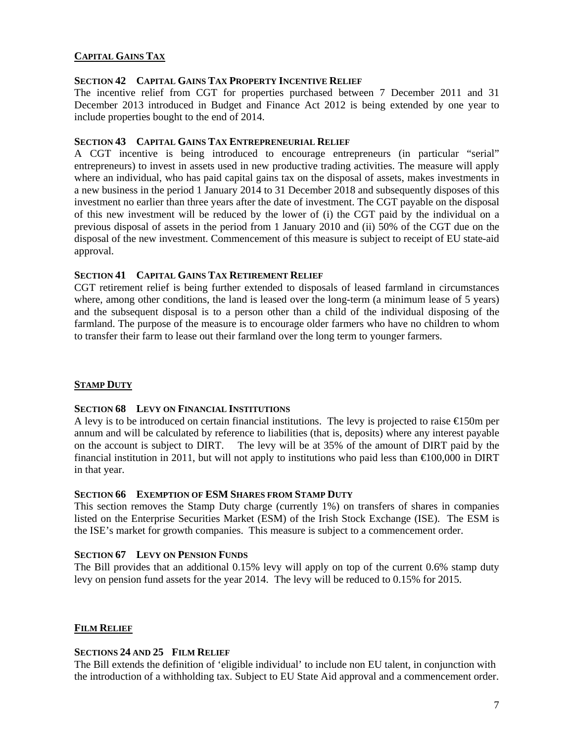## **CAPITAL GAINS TAX**

#### **SECTION 42 CAPITAL GAINS TAX PROPERTY INCENTIVE RELIEF**

The incentive relief from CGT for properties purchased between 7 December 2011 and 31 December 2013 introduced in Budget and Finance Act 2012 is being extended by one year to include properties bought to the end of 2014.

## **SECTION 43 CAPITAL GAINS TAX ENTREPRENEURIAL RELIEF**

A CGT incentive is being introduced to encourage entrepreneurs (in particular "serial" entrepreneurs) to invest in assets used in new productive trading activities. The measure will apply where an individual, who has paid capital gains tax on the disposal of assets, makes investments in a new business in the period 1 January 2014 to 31 December 2018 and subsequently disposes of this investment no earlier than three years after the date of investment. The CGT payable on the disposal of this new investment will be reduced by the lower of (i) the CGT paid by the individual on a previous disposal of assets in the period from 1 January 2010 and (ii) 50% of the CGT due on the disposal of the new investment. Commencement of this measure is subject to receipt of EU state-aid approval.

## **SECTION 41 CAPITAL GAINS TAX RETIREMENT RELIEF**

CGT retirement relief is being further extended to disposals of leased farmland in circumstances where, among other conditions, the land is leased over the long-term (a minimum lease of 5 years) and the subsequent disposal is to a person other than a child of the individual disposing of the farmland. The purpose of the measure is to encourage older farmers who have no children to whom to transfer their farm to lease out their farmland over the long term to younger farmers.

## **STAMP DUTY**

#### **SECTION 68 LEVY ON FINANCIAL INSTITUTIONS**

A levy is to be introduced on certain financial institutions. The levy is projected to raise €150m per annum and will be calculated by reference to liabilities (that is, deposits) where any interest payable on the account is subject to DIRT. The levy will be at 35% of the amount of DIRT paid by the financial institution in 2011, but will not apply to institutions who paid less than  $\epsilon 00,000$  in DIRT in that year.

#### **SECTION 66 EXEMPTION OF ESM SHARES FROM STAMP DUTY**

This section removes the Stamp Duty charge (currently 1%) on transfers of shares in companies listed on the Enterprise Securities Market (ESM) of the Irish Stock Exchange (ISE). The ESM is the ISE's market for growth companies. This measure is subject to a commencement order.

#### **SECTION 67 LEVY ON PENSION FUNDS**

The Bill provides that an additional 0.15% levy will apply on top of the current 0.6% stamp duty levy on pension fund assets for the year 2014. The levy will be reduced to 0.15% for 2015.

## **FILM RELIEF**

#### **SECTIONS 24 AND 25 FILM RELIEF**

The Bill extends the definition of 'eligible individual' to include non EU talent, in conjunction with the introduction of a withholding tax. Subject to EU State Aid approval and a commencement order.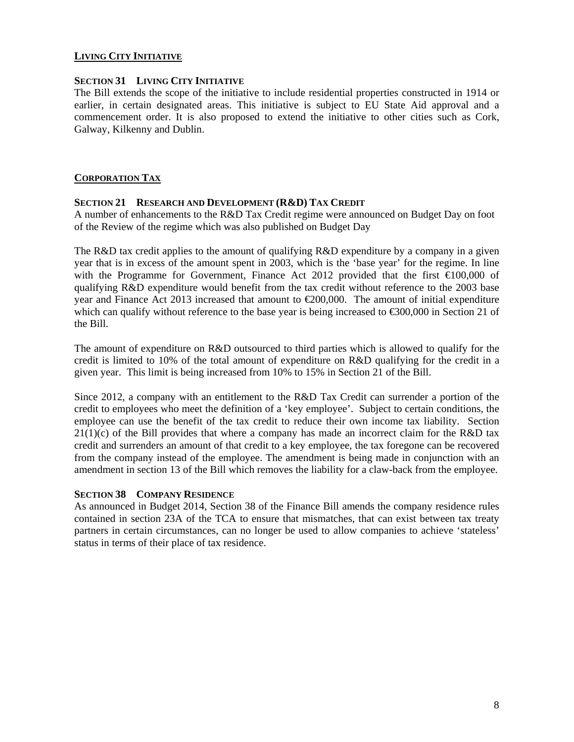## **LIVING CITY INITIATIVE**

#### **SECTION 31 LIVING CITY INITIATIVE**

The Bill extends the scope of the initiative to include residential properties constructed in 1914 or earlier, in certain designated areas. This initiative is subject to EU State Aid approval and a commencement order. It is also proposed to extend the initiative to other cities such as Cork, Galway, Kilkenny and Dublin.

## **CORPORATION TAX**

#### **SECTION 21 RESEARCH AND DEVELOPMENT (R&D) TAX CREDIT**

A number of enhancements to the R&D Tax Credit regime were announced on Budget Day on foot of the Review of the regime which was also published on Budget Day

The R&D tax credit applies to the amount of qualifying R&D expenditure by a company in a given year that is in excess of the amount spent in 2003, which is the 'base year' for the regime. In line with the Programme for Government, Finance Act 2012 provided that the first  $\epsilon 100,000$  of qualifying R&D expenditure would benefit from the tax credit without reference to the 2003 base year and Finance Act 2013 increased that amount to €200,000. The amount of initial expenditure which can qualify without reference to the base year is being increased to  $\epsilon$ 300,000 in Section 21 of the Bill.

The amount of expenditure on R&D outsourced to third parties which is allowed to qualify for the credit is limited to 10% of the total amount of expenditure on R&D qualifying for the credit in a given year. This limit is being increased from 10% to 15% in Section 21 of the Bill.

Since 2012, a company with an entitlement to the R&D Tax Credit can surrender a portion of the credit to employees who meet the definition of a 'key employee'. Subject to certain conditions, the employee can use the benefit of the tax credit to reduce their own income tax liability. Section  $21(1)(c)$  of the Bill provides that where a company has made an incorrect claim for the R&D tax credit and surrenders an amount of that credit to a key employee, the tax foregone can be recovered from the company instead of the employee. The amendment is being made in conjunction with an amendment in section 13 of the Bill which removes the liability for a claw-back from the employee.

#### **SECTION 38 COMPANY RESIDENCE**

As announced in Budget 2014, Section 38 of the Finance Bill amends the company residence rules contained in section 23A of the TCA to ensure that mismatches, that can exist between tax treaty partners in certain circumstances, can no longer be used to allow companies to achieve 'stateless' status in terms of their place of tax residence.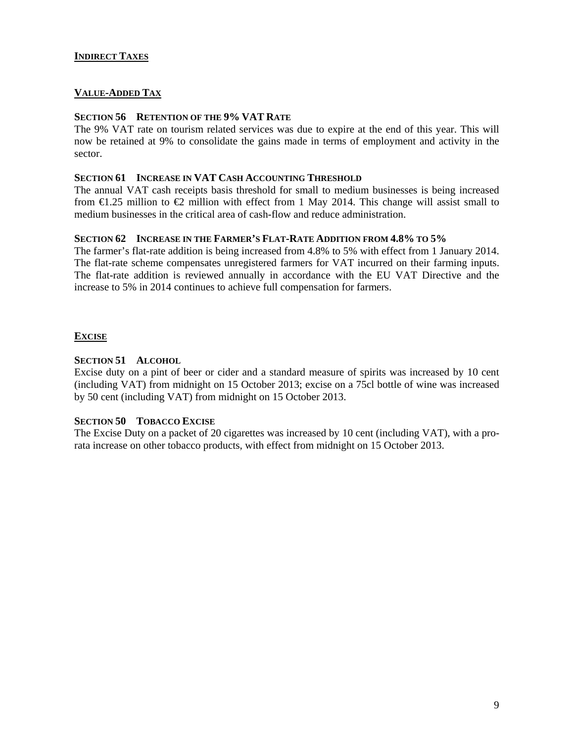## **INDIRECT TAXES**

## **VALUE-ADDED TAX**

#### **SECTION 56 RETENTION OF THE 9% VAT RATE**

The 9% VAT rate on tourism related services was due to expire at the end of this year. This will now be retained at 9% to consolidate the gains made in terms of employment and activity in the sector.

#### **SECTION 61 INCREASE IN VAT CASH ACCOUNTING THRESHOLD**

The annual VAT cash receipts basis threshold for small to medium businesses is being increased from  $\bigoplus$ .25 million to  $\bigoplus$  million with effect from 1 May 2014. This change will assist small to medium businesses in the critical area of cash-flow and reduce administration.

#### **SECTION 62 INCREASE IN THE FARMER'S FLAT-RATE ADDITION FROM 4.8% TO 5%**

The farmer's flat-rate addition is being increased from 4.8% to 5% with effect from 1 January 2014. The flat-rate scheme compensates unregistered farmers for VAT incurred on their farming inputs. The flat-rate addition is reviewed annually in accordance with the EU VAT Directive and the increase to 5% in 2014 continues to achieve full compensation for farmers.

#### **EXCISE**

#### **SECTION 51 ALCOHOL**

Excise duty on a pint of beer or cider and a standard measure of spirits was increased by 10 cent (including VAT) from midnight on 15 October 2013; excise on a 75cl bottle of wine was increased by 50 cent (including VAT) from midnight on 15 October 2013.

#### **SECTION 50 TOBACCO EXCISE**

The Excise Duty on a packet of 20 cigarettes was increased by 10 cent (including VAT), with a prorata increase on other tobacco products, with effect from midnight on 15 October 2013.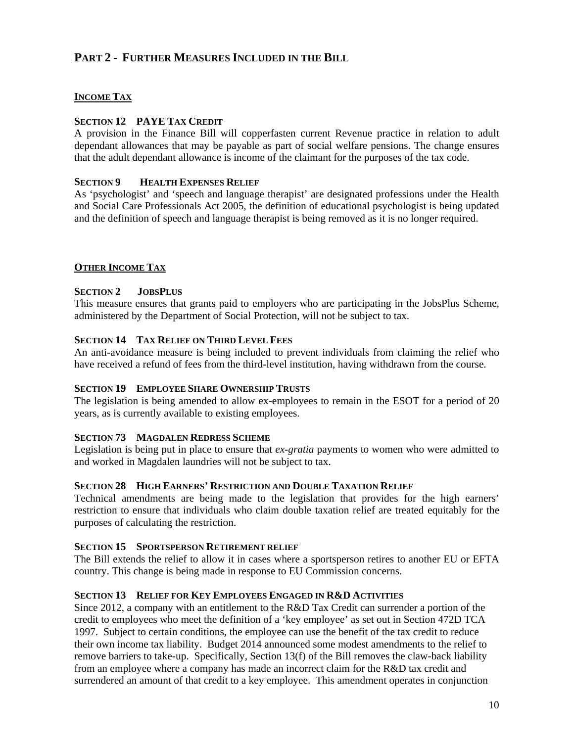# **PART 2 - FURTHER MEASURES INCLUDED IN THE BILL**

## **INCOME TAX**

## **SECTION 12 PAYE TAX CREDIT**

A provision in the Finance Bill will copperfasten current Revenue practice in relation to adult dependant allowances that may be payable as part of social welfare pensions. The change ensures that the adult dependant allowance is income of the claimant for the purposes of the tax code.

#### **SECTION 9 HEALTH EXPENSES RELIEF**

As 'psychologist' and 'speech and language therapist' are designated professions under the Health and Social Care Professionals Act 2005, the definition of educational psychologist is being updated and the definition of speech and language therapist is being removed as it is no longer required.

#### **OTHER INCOME TAX**

#### **SECTION 2 JOBSPLUS**

This measure ensures that grants paid to employers who are participating in the JobsPlus Scheme, administered by the Department of Social Protection, will not be subject to tax.

### **SECTION 14 TAX RELIEF ON THIRD LEVEL FEES**

An anti-avoidance measure is being included to prevent individuals from claiming the relief who have received a refund of fees from the third-level institution, having withdrawn from the course.

#### **SECTION 19 EMPLOYEE SHARE OWNERSHIP TRUSTS**

The legislation is being amended to allow ex-employees to remain in the ESOT for a period of 20 years, as is currently available to existing employees.

#### **SECTION 73 MAGDALEN REDRESS SCHEME**

Legislation is being put in place to ensure that *ex-gratia* payments to women who were admitted to and worked in Magdalen laundries will not be subject to tax.

#### **SECTION 28 HIGH EARNERS' RESTRICTION AND DOUBLE TAXATION RELIEF**

Technical amendments are being made to the legislation that provides for the high earners' restriction to ensure that individuals who claim double taxation relief are treated equitably for the purposes of calculating the restriction.

#### **SECTION 15 SPORTSPERSON RETIREMENT RELIEF**

The Bill extends the relief to allow it in cases where a sportsperson retires to another EU or EFTA country. This change is being made in response to EU Commission concerns.

#### **SECTION 13 RELIEF FOR KEY EMPLOYEES ENGAGED IN R&D ACTIVITIES**

Since 2012, a company with an entitlement to the R&D Tax Credit can surrender a portion of the credit to employees who meet the definition of a 'key employee' as set out in Section 472D TCA 1997. Subject to certain conditions, the employee can use the benefit of the tax credit to reduce their own income tax liability. Budget 2014 announced some modest amendments to the relief to remove barriers to take-up. Specifically, Section 13(f) of the Bill removes the claw-back liability from an employee where a company has made an incorrect claim for the R&D tax credit and surrendered an amount of that credit to a key employee. This amendment operates in conjunction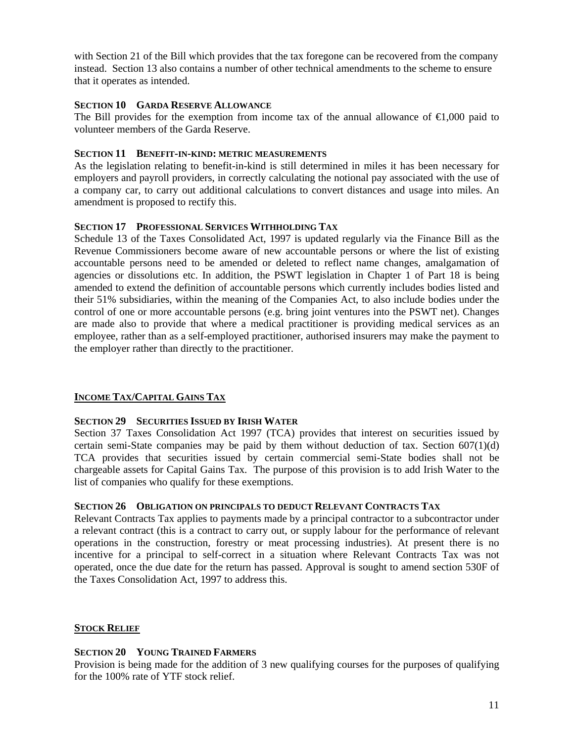with Section 21 of the Bill which provides that the tax foregone can be recovered from the company instead. Section 13 also contains a number of other technical amendments to the scheme to ensure that it operates as intended.

## **SECTION 10 GARDA RESERVE ALLOWANCE**

The Bill provides for the exemption from income tax of the annual allowance of  $\epsilon 1,000$  paid to volunteer members of the Garda Reserve.

## **SECTION 11 BENEFIT-IN-KIND: METRIC MEASUREMENTS**

As the legislation relating to benefit-in-kind is still determined in miles it has been necessary for employers and payroll providers, in correctly calculating the notional pay associated with the use of a company car, to carry out additional calculations to convert distances and usage into miles. An amendment is proposed to rectify this.

## **SECTION 17 PROFESSIONAL SERVICES WITHHOLDING TAX**

Schedule 13 of the Taxes Consolidated Act, 1997 is updated regularly via the Finance Bill as the Revenue Commissioners become aware of new accountable persons or where the list of existing accountable persons need to be amended or deleted to reflect name changes, amalgamation of agencies or dissolutions etc. In addition, the PSWT legislation in Chapter 1 of Part 18 is being amended to extend the definition of accountable persons which currently includes bodies listed and their 51% subsidiaries, within the meaning of the Companies Act, to also include bodies under the control of one or more accountable persons (e.g. bring joint ventures into the PSWT net). Changes are made also to provide that where a medical practitioner is providing medical services as an employee, rather than as a self-employed practitioner, authorised insurers may make the payment to the employer rather than directly to the practitioner.

## **INCOME TAX/CAPITAL GAINS TAX**

## **SECTION 29 SECURITIES ISSUED BY IRISH WATER**

Section 37 Taxes Consolidation Act 1997 (TCA) provides that interest on securities issued by certain semi-State companies may be paid by them without deduction of tax. Section  $607(1)(d)$ TCA provides that securities issued by certain commercial semi-State bodies shall not be chargeable assets for Capital Gains Tax. The purpose of this provision is to add Irish Water to the list of companies who qualify for these exemptions.

#### **SECTION 26 OBLIGATION ON PRINCIPALS TO DEDUCT RELEVANT CONTRACTS TAX**

Relevant Contracts Tax applies to payments made by a principal contractor to a subcontractor under a relevant contract (this is a contract to carry out, or supply labour for the performance of relevant operations in the construction, forestry or meat processing industries). At present there is no incentive for a principal to self-correct in a situation where Relevant Contracts Tax was not operated, once the due date for the return has passed. Approval is sought to amend section 530F of the Taxes Consolidation Act, 1997 to address this.

#### **STOCK RELIEF**

#### **SECTION 20 YOUNG TRAINED FARMERS**

Provision is being made for the addition of 3 new qualifying courses for the purposes of qualifying for the 100% rate of YTF stock relief.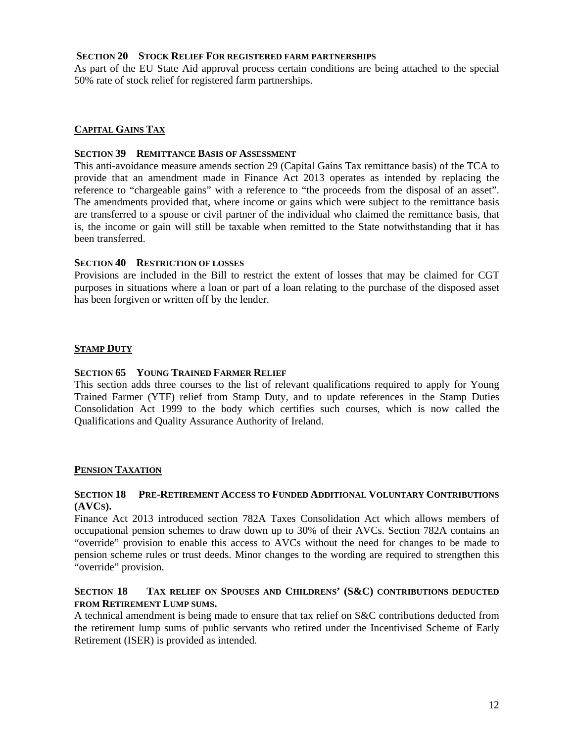### **SECTION 20 STOCK RELIEF FOR REGISTERED FARM PARTNERSHIPS**

As part of the EU State Aid approval process certain conditions are being attached to the special 50% rate of stock relief for registered farm partnerships.

## **CAPITAL GAINS TAX**

#### **SECTION 39 REMITTANCE BASIS OF ASSESSMENT**

This anti-avoidance measure amends section 29 (Capital Gains Tax remittance basis) of the TCA to provide that an amendment made in Finance Act 2013 operates as intended by replacing the reference to "chargeable gains" with a reference to "the proceeds from the disposal of an asset". The amendments provided that, where income or gains which were subject to the remittance basis are transferred to a spouse or civil partner of the individual who claimed the remittance basis, that is, the income or gain will still be taxable when remitted to the State notwithstanding that it has been transferred.

#### **SECTION 40 RESTRICTION OF LOSSES**

Provisions are included in the Bill to restrict the extent of losses that may be claimed for CGT purposes in situations where a loan or part of a loan relating to the purchase of the disposed asset has been forgiven or written off by the lender.

#### **STAMP DUTY**

#### **SECTION 65 YOUNG TRAINED FARMER RELIEF**

This section adds three courses to the list of relevant qualifications required to apply for Young Trained Farmer (YTF) relief from Stamp Duty, and to update references in the Stamp Duties Consolidation Act 1999 to the body which certifies such courses, which is now called the Qualifications and Quality Assurance Authority of Ireland.

#### **PENSION TAXATION**

#### **SECTION 18 PRE-RETIREMENT ACCESS TO FUNDED ADDITIONAL VOLUNTARY CONTRIBUTIONS (AVCS).**

Finance Act 2013 introduced section 782A Taxes Consolidation Act which allows members of occupational pension schemes to draw down up to 30% of their AVCs. Section 782A contains an "override" provision to enable this access to AVCs without the need for changes to be made to pension scheme rules or trust deeds. Minor changes to the wording are required to strengthen this "override" provision.

#### **SECTION 18 TAX RELIEF ON SPOUSES AND CHILDRENS' (S&C) CONTRIBUTIONS DEDUCTED FROM RETIREMENT LUMP SUMS.**

A technical amendment is being made to ensure that tax relief on S&C contributions deducted from the retirement lump sums of public servants who retired under the Incentivised Scheme of Early Retirement (ISER) is provided as intended.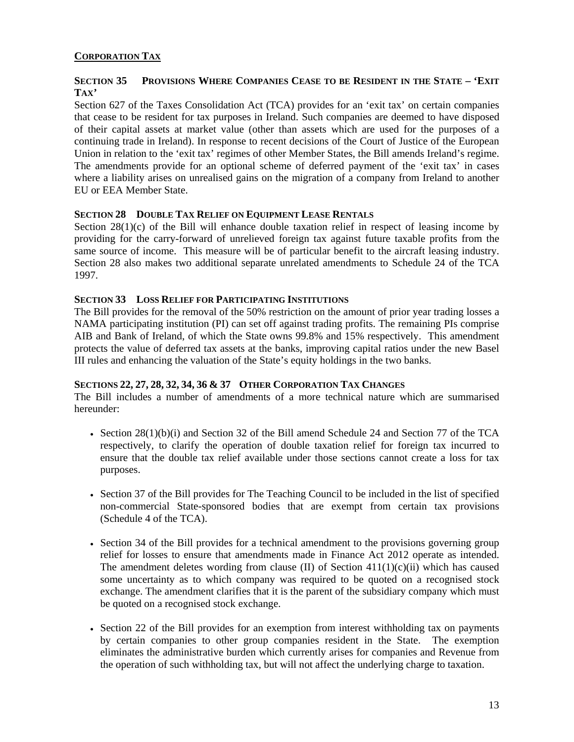## **CORPORATION TAX**

## **SECTION 35 PROVISIONS WHERE COMPANIES CEASE TO BE RESIDENT IN THE STATE – 'EXIT TAX'**

Section 627 of the Taxes Consolidation Act (TCA) provides for an 'exit tax' on certain companies that cease to be resident for tax purposes in Ireland. Such companies are deemed to have disposed of their capital assets at market value (other than assets which are used for the purposes of a continuing trade in Ireland). In response to recent decisions of the Court of Justice of the European Union in relation to the 'exit tax' regimes of other Member States, the Bill amends Ireland's regime. The amendments provide for an optional scheme of deferred payment of the 'exit tax' in cases where a liability arises on unrealised gains on the migration of a company from Ireland to another EU or EEA Member State.

## **SECTION 28 DOUBLE TAX RELIEF ON EQUIPMENT LEASE RENTALS**

Section 28(1)(c) of the Bill will enhance double taxation relief in respect of leasing income by providing for the carry-forward of unrelieved foreign tax against future taxable profits from the same source of income. This measure will be of particular benefit to the aircraft leasing industry. Section 28 also makes two additional separate unrelated amendments to Schedule 24 of the TCA 1997.

#### **SECTION 33 LOSS RELIEF FOR PARTICIPATING INSTITUTIONS**

The Bill provides for the removal of the 50% restriction on the amount of prior year trading losses a NAMA participating institution (PI) can set off against trading profits. The remaining PIs comprise AIB and Bank of Ireland, of which the State owns 99.8% and 15% respectively. This amendment protects the value of deferred tax assets at the banks, improving capital ratios under the new Basel III rules and enhancing the valuation of the State's equity holdings in the two banks.

## **SECTIONS 22, 27, 28, 32, 34, 36 & 37 OTHER CORPORATION TAX CHANGES**

The Bill includes a number of amendments of a more technical nature which are summarised hereunder:

- Section 28(1)(b)(i) and Section 32 of the Bill amend Schedule 24 and Section 77 of the TCA respectively, to clarify the operation of double taxation relief for foreign tax incurred to ensure that the double tax relief available under those sections cannot create a loss for tax purposes.
- Section 37 of the Bill provides for The Teaching Council to be included in the list of specified non-commercial State-sponsored bodies that are exempt from certain tax provisions (Schedule 4 of the TCA).
- Section 34 of the Bill provides for a technical amendment to the provisions governing group relief for losses to ensure that amendments made in Finance Act 2012 operate as intended. The amendment deletes wording from clause (II) of Section  $411(1)(c)(ii)$  which has caused some uncertainty as to which company was required to be quoted on a recognised stock exchange. The amendment clarifies that it is the parent of the subsidiary company which must be quoted on a recognised stock exchange.
- Section 22 of the Bill provides for an exemption from interest withholding tax on payments by certain companies to other group companies resident in the State. The exemption eliminates the administrative burden which currently arises for companies and Revenue from the operation of such withholding tax, but will not affect the underlying charge to taxation.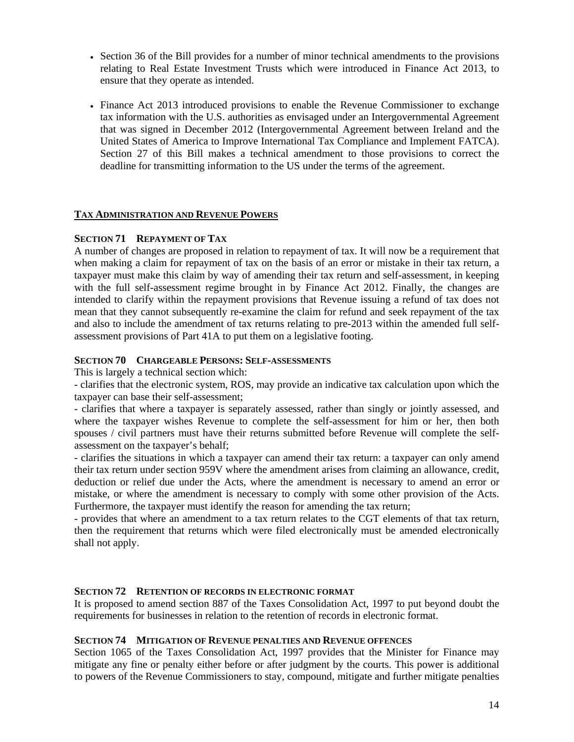- Section 36 of the Bill provides for a number of minor technical amendments to the provisions relating to Real Estate Investment Trusts which were introduced in Finance Act 2013, to ensure that they operate as intended.
- Finance Act 2013 introduced provisions to enable the Revenue Commissioner to exchange tax information with the U.S. authorities as envisaged under an Intergovernmental Agreement that was signed in December 2012 (Intergovernmental Agreement between Ireland and the United States of America to Improve International Tax Compliance and Implement FATCA). Section 27 of this Bill makes a technical amendment to those provisions to correct the deadline for transmitting information to the US under the terms of the agreement.

#### **TAX ADMINISTRATION AND REVENUE POWERS**

#### **SECTION 71 REPAYMENT OF TAX**

A number of changes are proposed in relation to repayment of tax. It will now be a requirement that when making a claim for repayment of tax on the basis of an error or mistake in their tax return, a taxpayer must make this claim by way of amending their tax return and self-assessment, in keeping with the full self-assessment regime brought in by Finance Act 2012. Finally, the changes are intended to clarify within the repayment provisions that Revenue issuing a refund of tax does not mean that they cannot subsequently re-examine the claim for refund and seek repayment of the tax and also to include the amendment of tax returns relating to pre-2013 within the amended full selfassessment provisions of Part 41A to put them on a legislative footing.

#### **SECTION 70 CHARGEABLE PERSONS: SELF-ASSESSMENTS**

This is largely a technical section which:

- clarifies that the electronic system, ROS, may provide an indicative tax calculation upon which the taxpayer can base their self-assessment;

- clarifies that where a taxpayer is separately assessed, rather than singly or jointly assessed, and where the taxpayer wishes Revenue to complete the self-assessment for him or her, then both spouses / civil partners must have their returns submitted before Revenue will complete the selfassessment on the taxpayer's behalf;

- clarifies the situations in which a taxpayer can amend their tax return: a taxpayer can only amend their tax return under section 959V where the amendment arises from claiming an allowance, credit, deduction or relief due under the Acts, where the amendment is necessary to amend an error or mistake, or where the amendment is necessary to comply with some other provision of the Acts. Furthermore, the taxpayer must identify the reason for amending the tax return;

- provides that where an amendment to a tax return relates to the CGT elements of that tax return, then the requirement that returns which were filed electronically must be amended electronically shall not apply.

#### **SECTION 72 RETENTION OF RECORDS IN ELECTRONIC FORMAT**

It is proposed to amend section 887 of the Taxes Consolidation Act, 1997 to put beyond doubt the requirements for businesses in relation to the retention of records in electronic format.

#### **SECTION 74 MITIGATION OF REVENUE PENALTIES AND REVENUE OFFENCES**

Section 1065 of the Taxes Consolidation Act, 1997 provides that the Minister for Finance may mitigate any fine or penalty either before or after judgment by the courts. This power is additional to powers of the Revenue Commissioners to stay, compound, mitigate and further mitigate penalties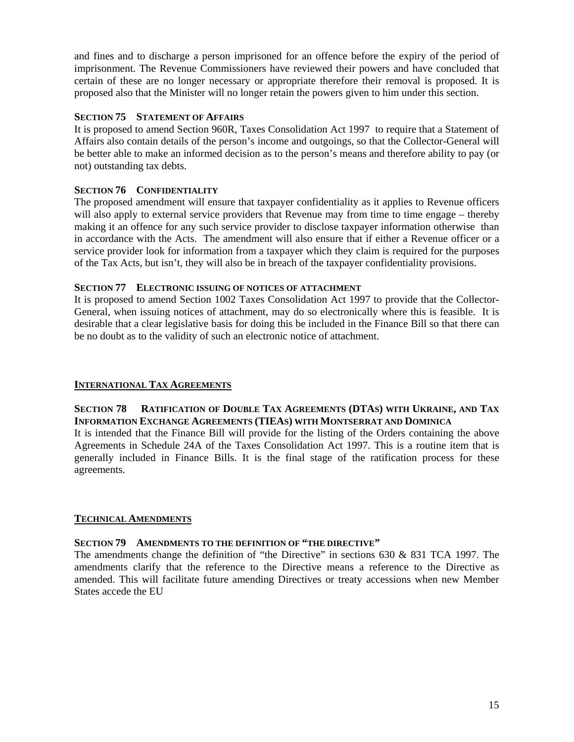and fines and to discharge a person imprisoned for an offence before the expiry of the period of imprisonment. The Revenue Commissioners have reviewed their powers and have concluded that certain of these are no longer necessary or appropriate therefore their removal is proposed. It is proposed also that the Minister will no longer retain the powers given to him under this section.

## **SECTION 75 STATEMENT OF AFFAIRS**

It is proposed to amend Section 960R, Taxes Consolidation Act 1997 to require that a Statement of Affairs also contain details of the person's income and outgoings, so that the Collector-General will be better able to make an informed decision as to the person's means and therefore ability to pay (or not) outstanding tax debts.

## **SECTION 76 CONFIDENTIALITY**

The proposed amendment will ensure that taxpayer confidentiality as it applies to Revenue officers will also apply to external service providers that Revenue may from time to time engage – thereby making it an offence for any such service provider to disclose taxpayer information otherwise than in accordance with the Acts. The amendment will also ensure that if either a Revenue officer or a service provider look for information from a taxpayer which they claim is required for the purposes of the Tax Acts, but isn't, they will also be in breach of the taxpayer confidentiality provisions.

#### **SECTION 77 ELECTRONIC ISSUING OF NOTICES OF ATTACHMENT**

It is proposed to amend Section 1002 Taxes Consolidation Act 1997 to provide that the Collector-General, when issuing notices of attachment, may do so electronically where this is feasible. It is desirable that a clear legislative basis for doing this be included in the Finance Bill so that there can be no doubt as to the validity of such an electronic notice of attachment.

#### **INTERNATIONAL TAX AGREEMENTS**

## **SECTION 78 RATIFICATION OF DOUBLE TAX AGREEMENTS (DTAS) WITH UKRAINE, AND TAX INFORMATION EXCHANGE AGREEMENTS (TIEAS) WITH MONTSERRAT AND DOMINICA**

It is intended that the Finance Bill will provide for the listing of the Orders containing the above Agreements in Schedule 24A of the Taxes Consolidation Act 1997. This is a routine item that is generally included in Finance Bills. It is the final stage of the ratification process for these agreements.

#### **TECHNICAL AMENDMENTS**

## **SECTION 79 AMENDMENTS TO THE DEFINITION OF "THE DIRECTIVE"**

The amendments change the definition of "the Directive" in sections 630 & 831 TCA 1997. The amendments clarify that the reference to the Directive means a reference to the Directive as amended. This will facilitate future amending Directives or treaty accessions when new Member States accede the EU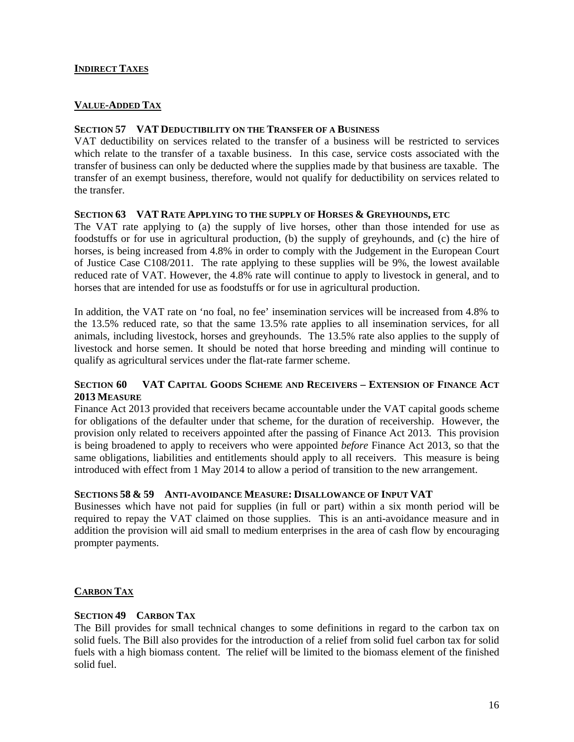## **INDIRECT TAXES**

## **VALUE-ADDED TAX**

#### **SECTION 57 VAT DEDUCTIBILITY ON THE TRANSFER OF A BUSINESS**

VAT deductibility on services related to the transfer of a business will be restricted to services which relate to the transfer of a taxable business. In this case, service costs associated with the transfer of business can only be deducted where the supplies made by that business are taxable. The transfer of an exempt business, therefore, would not qualify for deductibility on services related to the transfer.

#### **SECTION 63 VAT RATE APPLYING TO THE SUPPLY OF HORSES & GREYHOUNDS, ETC**

The VAT rate applying to (a) the supply of live horses, other than those intended for use as foodstuffs or for use in agricultural production, (b) the supply of greyhounds, and (c) the hire of horses, is being increased from 4.8% in order to comply with the Judgement in the European Court of Justice Case C108/2011. The rate applying to these supplies will be 9%, the lowest available reduced rate of VAT. However, the 4.8% rate will continue to apply to livestock in general, and to horses that are intended for use as foodstuffs or for use in agricultural production.

In addition, the VAT rate on 'no foal, no fee' insemination services will be increased from 4.8% to the 13.5% reduced rate, so that the same 13.5% rate applies to all insemination services, for all animals, including livestock, horses and greyhounds. The 13.5% rate also applies to the supply of livestock and horse semen. It should be noted that horse breeding and minding will continue to qualify as agricultural services under the flat-rate farmer scheme.

## **SECTION 60 VAT CAPITAL GOODS SCHEME AND RECEIVERS – EXTENSION OF FINANCE ACT 2013 MEASURE**

Finance Act 2013 provided that receivers became accountable under the VAT capital goods scheme for obligations of the defaulter under that scheme, for the duration of receivership. However, the provision only related to receivers appointed after the passing of Finance Act 2013. This provision is being broadened to apply to receivers who were appointed *before* Finance Act 2013, so that the same obligations, liabilities and entitlements should apply to all receivers. This measure is being introduced with effect from 1 May 2014 to allow a period of transition to the new arrangement.

#### **SECTIONS 58 & 59 ANTI-AVOIDANCE MEASURE: DISALLOWANCE OF INPUT VAT**

Businesses which have not paid for supplies (in full or part) within a six month period will be required to repay the VAT claimed on those supplies. This is an anti-avoidance measure and in addition the provision will aid small to medium enterprises in the area of cash flow by encouraging prompter payments.

#### **CARBON TAX**

#### **SECTION 49 CARBON TAX**

The Bill provides for small technical changes to some definitions in regard to the carbon tax on solid fuels. The Bill also provides for the introduction of a relief from solid fuel carbon tax for solid fuels with a high biomass content. The relief will be limited to the biomass element of the finished solid fuel.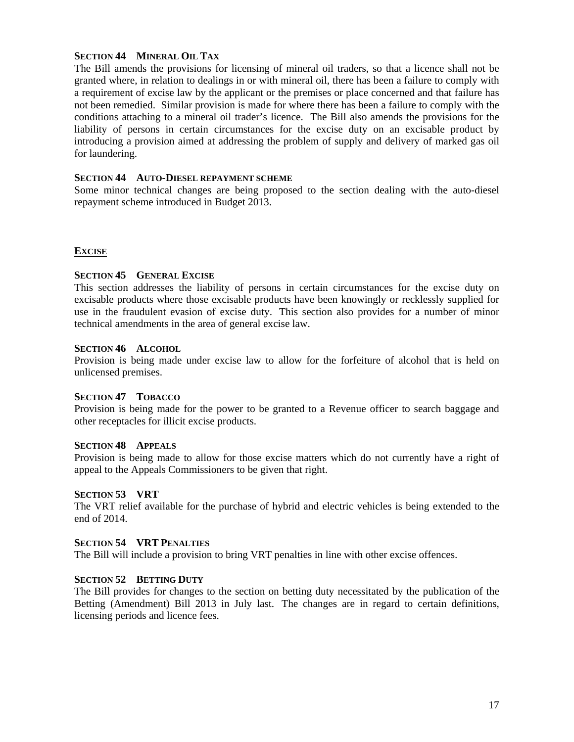## **SECTION 44 MINERAL OIL TAX**

The Bill amends the provisions for licensing of mineral oil traders, so that a licence shall not be granted where, in relation to dealings in or with mineral oil, there has been a failure to comply with a requirement of excise law by the applicant or the premises or place concerned and that failure has not been remedied. Similar provision is made for where there has been a failure to comply with the conditions attaching to a mineral oil trader's licence. The Bill also amends the provisions for the liability of persons in certain circumstances for the excise duty on an excisable product by introducing a provision aimed at addressing the problem of supply and delivery of marked gas oil for laundering.

#### **SECTION 44 AUTO-DIESEL REPAYMENT SCHEME**

Some minor technical changes are being proposed to the section dealing with the auto-diesel repayment scheme introduced in Budget 2013.

#### **EXCISE**

#### **SECTION 45 GENERAL EXCISE**

This section addresses the liability of persons in certain circumstances for the excise duty on excisable products where those excisable products have been knowingly or recklessly supplied for use in the fraudulent evasion of excise duty. This section also provides for a number of minor technical amendments in the area of general excise law.

#### **SECTION 46 ALCOHOL**

Provision is being made under excise law to allow for the forfeiture of alcohol that is held on unlicensed premises.

#### **SECTION 47 TOBACCO**

Provision is being made for the power to be granted to a Revenue officer to search baggage and other receptacles for illicit excise products.

#### **SECTION 48 APPEALS**

Provision is being made to allow for those excise matters which do not currently have a right of appeal to the Appeals Commissioners to be given that right.

#### **SECTION 53 VRT**

The VRT relief available for the purchase of hybrid and electric vehicles is being extended to the end of 2014.

#### **SECTION 54 VRT PENALTIES**

The Bill will include a provision to bring VRT penalties in line with other excise offences.

## **SECTION 52 BETTING DUTY**

The Bill provides for changes to the section on betting duty necessitated by the publication of the Betting (Amendment) Bill 2013 in July last. The changes are in regard to certain definitions, licensing periods and licence fees.